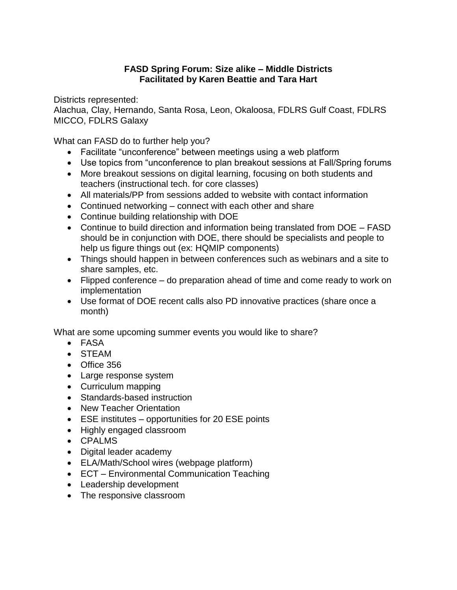## **FASD Spring Forum: Size alike – Middle Districts Facilitated by Karen Beattie and Tara Hart**

Districts represented:

Alachua, Clay, Hernando, Santa Rosa, Leon, Okaloosa, FDLRS Gulf Coast, FDLRS MICCO, FDLRS Galaxy

What can FASD do to further help you?

- Facilitate "unconference" between meetings using a web platform
- Use topics from "unconference to plan breakout sessions at Fall/Spring forums
- More breakout sessions on digital learning, focusing on both students and teachers (instructional tech. for core classes)
- All materials/PP from sessions added to website with contact information
- Continued networking connect with each other and share
- Continue building relationship with DOE
- Continue to build direction and information being translated from DOE FASD should be in conjunction with DOE, there should be specialists and people to help us figure things out (ex: HQMIP components)
- Things should happen in between conferences such as webinars and a site to share samples, etc.
- Flipped conference do preparation ahead of time and come ready to work on implementation
- Use format of DOE recent calls also PD innovative practices (share once a month)

What are some upcoming summer events you would like to share?

- FASA
- STEAM
- Office 356
- Large response system
- Curriculum mapping
- Standards-based instruction
- New Teacher Orientation
- ESE institutes opportunities for 20 ESE points
- Highly engaged classroom
- CPALMS
- Digital leader academy
- ELA/Math/School wires (webpage platform)
- ECT Environmental Communication Teaching
- Leadership development
- The responsive classroom